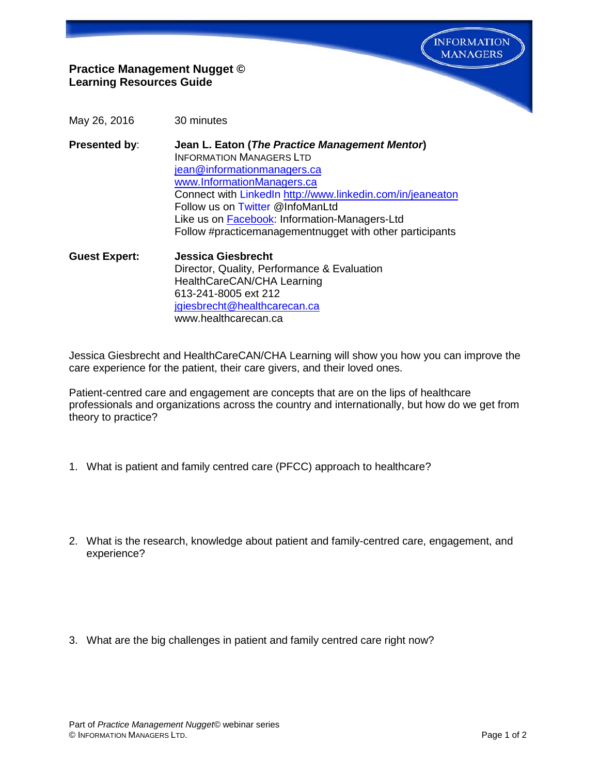**INFORMATION MANAGERS** 

## **Practice Management Nugget © Learning Resources Guide**

- May 26, 2016 30 minutes
- **Presented by**: **Jean L. Eaton (***The Practice Management Mentor***)** INFORMATION MANAGERS LTD [jean@informationmanagers.ca](mailto:jean@informationmanagers.ca) [www.InformationManagers.ca](http://www.informationmanagers.ca/) Connect with [LinkedIn](http://www.linkedin.com/in/jeaneaton) <http://www.linkedin.com/in/jeaneaton> Follow us on [Twitter](https://twitter.com/InfoManLtd) @InfoManLtd Like us on [Facebook:](https://www.facebook.com/pages/Information-Managers-Ltd/291303607725640) Information-Managers-Ltd Follow #practicemanagementnugget with other participants
- **Guest Expert: Jessica Giesbrecht** Director, Quality, Performance & Evaluation HealthCareCAN/CHA Learning 613-241-8005 ext 212 [jgiesbrecht@healthcarecan.ca](mailto:jgiesbrecht@healthcarecan.ca) www.healthcarecan.ca

Jessica Giesbrecht and HealthCareCAN/CHA Learning will show you how you can improve the care experience for the patient, their care givers, and their loved ones.

Patient-centred care and engagement are concepts that are on the lips of healthcare professionals and organizations across the country and internationally, but how do we get from theory to practice?

- 1. What is patient and family centred care (PFCC) approach to healthcare?
- 2. What is the research, knowledge about patient and family-centred care, engagement, and experience?
- 3. What are the big challenges in patient and family centred care right now?